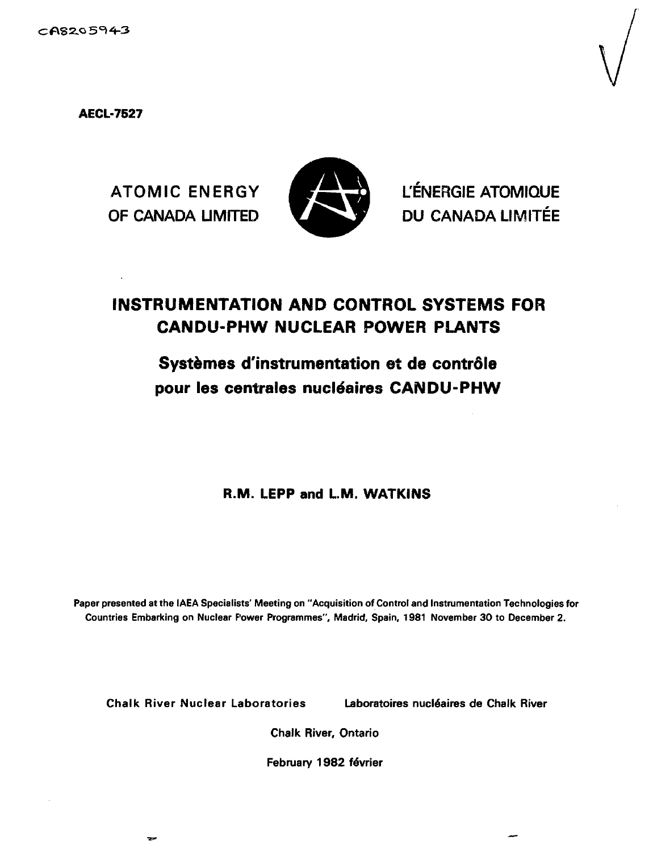**AECL-7527**



ATOMIC ENERGY **K SERVEN** L'ÉNERGIE ATOMIQUE OF CANADA LIMITED VALUE DU CANADA LIMITÉE

# **INSTRUMENTATION AND CONTROL SYSTEMS FOR CANDU-PHW NUCLEAR POWER PLANTS**

# Systèmes d'instrumentation et de contrôle pour les centrales nucléaires CANDU-PHW

**R.M. LEPP and L.M. WATKINS**

**Paper presented at the IAEA Specialists' Meeting on "Acquisition of Control and Instrumentation Technologies for Countries Embarking on Nuclear Power Programmes", Madrid, Spain, 1981 November 30 to December 2.**

**Chalk River Nuclear Laboratories Laboratoires nucldaires de Chalk River**

**Chalk River, Ontario**

**February 1982 fevrier**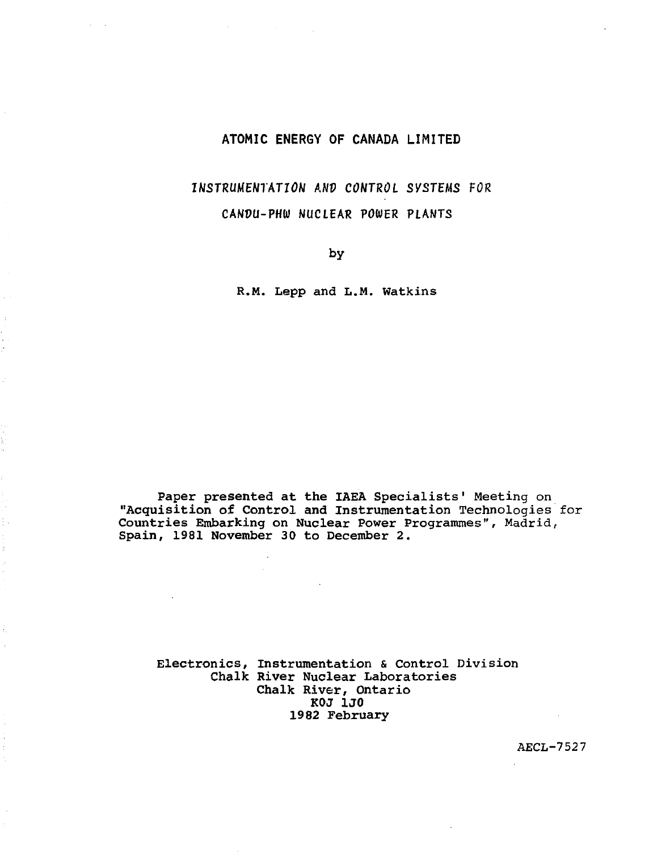# **ATOMIC ENERGY OF CANADA LIMITED**

# **INSTRUMENTATION ANV CONTROL SYSTEMS FOR CANDU-PHW NUCLEAR POWER PLANTS**

**by**

R.M. Lepp and L.M. Watkins

**Paper presented at the IAEA** Specialists' Meeting on **"Acquisition of Control and Instrumentation** Technologies for **Countries Embarking on Nuclear Power** Programmes", Madrid, **Spain, 1981 November 30 to December 2.**

**Electronics, Instrumentation** & **Control** Division **Chalk River Nuclear Laboratories Chalk River, Ontario KOJ 1J0 1982 February**

AECL-7527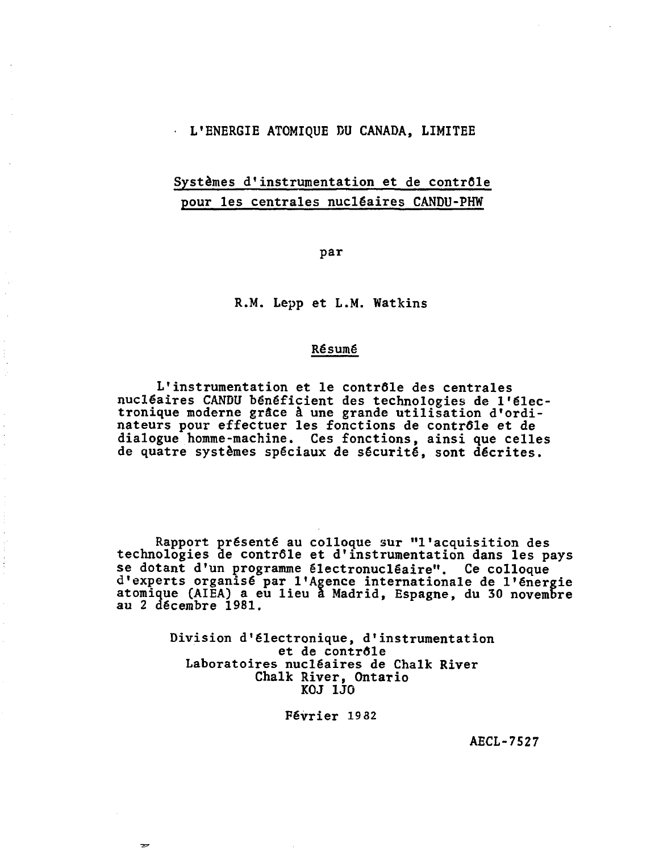### L'ENERGIE ATOMIQUE DU CANADA, LIMITEE

# Systèmes d'instrumentation et de contrôle pour les centrales nucléaires CANDU-PHW

par

R.M. Lepp et L.M. Watkins

### Résumé

L'instrumentation et le contrôle des centrales nucléaires CANDU bénéficient des technologies de l'électronique moderne grâce â une grande utilisation d'ordinateurs pour effectuer les fonctions de contrôle et de dialogue homme-machine. Ces fonctions, ainsi que celles de quatre systèmes spéciaux de sécurité, sont décrites.

Rapport présenté au colloque sur "l'acquisition des technologies de contrôle et d'instrumentation dans les pays se dotant d'un programme électronucléaire". Ce colloque d'experts organisé par l'Agence internationale de l'énergie atomique (AIEA) a eu lieu a Madrid, Espagne, du 30 novembre au 2 décembre 1981.

> Division d'électronique, d'instrumentation et de contrôle Laboratoires nucléaires de Chalk River Chalk River, Ontario KOJ 1J0

> > Février 19 32

AECL-7527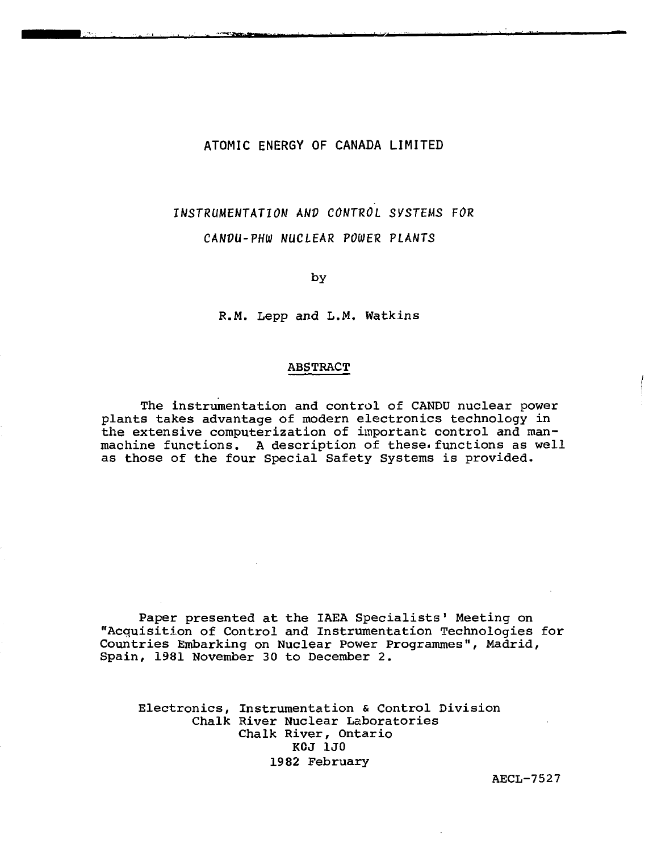# **ATOMIC ENERGY OF CANADA LIMITED**

# INSTRUMENTATION ANV CONTROL SYSTEMS FOR

CANVU-PHW NUCLEAR POWER PLANTS

by

R.M. Lepp and L.M. Watkins

#### ABSTRACT

The instrumentation and control of CANDU nuclear power plants takes advantage of modern electronics technology in the extensive computerization of important control and manmachine functions. A description of these functions as well as those of the four Special Safety Systems is provided.

Paper presented at the IAEA Specialists' Meeting on "Acquisition of Control and Instrumentation Technologies for Countries Embarking on Nuclear Power Programmes", Madrid, Spain, 1981 November 30 to December 2.

Electronics, Instrumentation & Control Division Chalk River Nuclear Laboratories Chalk River, Ontario KCJ 1J0 1982 February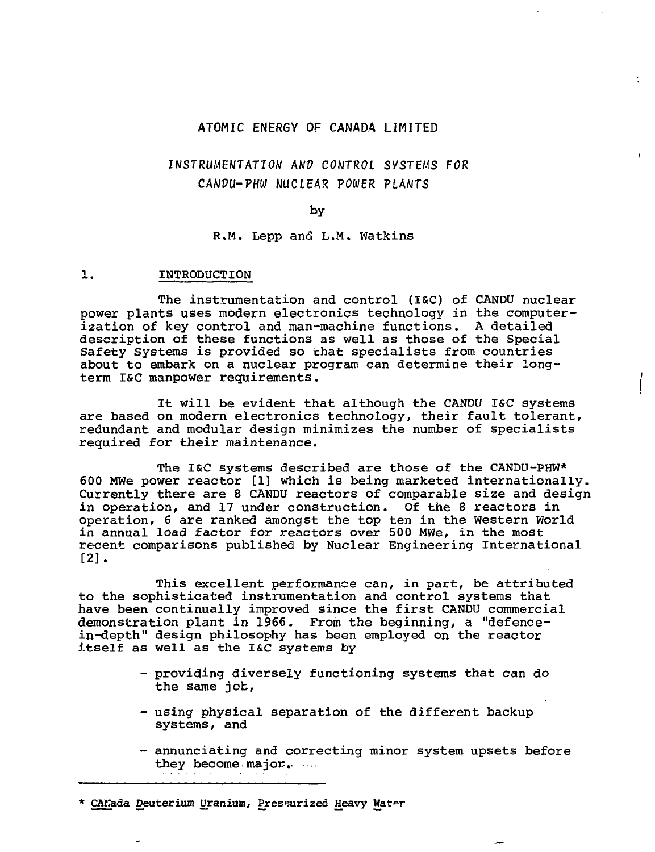## ATOMIC ENERGY OF CANADA LIMITED

# INSTRUMENTATION ANP CONTROL SYSTEMS FOR CANOU-PHW NUCLEAR POWER PLANTS

 $\mathbf{r}$ 

#### by

#### R.M. Lepp and L.M. Watkins

#### 1. INTRODUCTION

The instrumentation and control (I&C) of CANDU nuclear power plants uses modern electronics technology in the computerization of key control and man-machine functions. A detailed description of these functions as well as those of the Special Safety Systems is provided so that specialists from countries about to embark on a nuclear program can determine their longterm I&C manpower requirements.

It will be evident that although the CANDU I&C systems are based on modern electronics technology, their fault tolerant, redundant and modular design minimizes the number of specialists required for their maintenance.

The I&C systems described are those of the CANDU-PHW\* 600 MWe power reactor [1] which is being marketed internationally. Currently there are 8 CANDU reactors of comparable size and design in operation, and 17 under construction. Of the 8 reactors in operation, 6 are ranked amongst the top ten in the Western World in annual load factor for reactors over 500 MWe, in the most recent comparisons published by Nuclear Engineering International [2].

This excellent performance can, in part, be attributed to the sophisticated instrumentation and control systems that have been continually improved since the first CANDU commercial demonstration plant in 1966. From the beginning, a "defencein-depth" design philosophy has been employed on the reactor itself as well as the I&C systems by

- providing diversely functioning systems that can do the same job,
- using physical separation of the different backup systems, and
- annunciating and correcting minor system upsets before they become major.

\* CANada Deuterium Uranium, Pressurized Heavy Water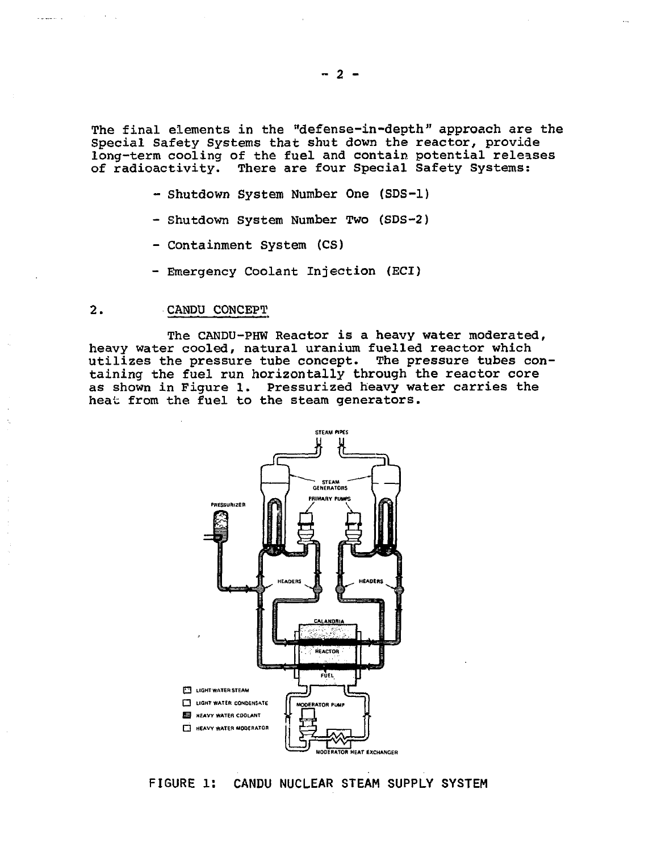The final elements in the "defense-in-depth" approach are the Special Safety Systems that shut down the reactor, provide long-term cooling of the fuel and contain potential releases of radioactivity. There are four Special Safety Systems:

- Shutdown System Number One (SDS-1)
- Shutdown System Number Two (SDS-2)
- Containment System (CS)
- Emergency Coolant Injection (ECI)

#### 2. CANDU CONCEPT

a dalam bilan

The CANDU-PHW Reactor is a heavy water moderated, heavy water cooled, natural uranium fuelled reactor which utilizes the pressure tube concept. The pressure tubes containing the fuel run horizontally through the reactor core as shown in Figure 1. Pressurized heavy water carries the heat from the fuel to the steam generators.



**FIGURE l: CANDU NUCLEAR STEAM SUPPLY SYSTEM**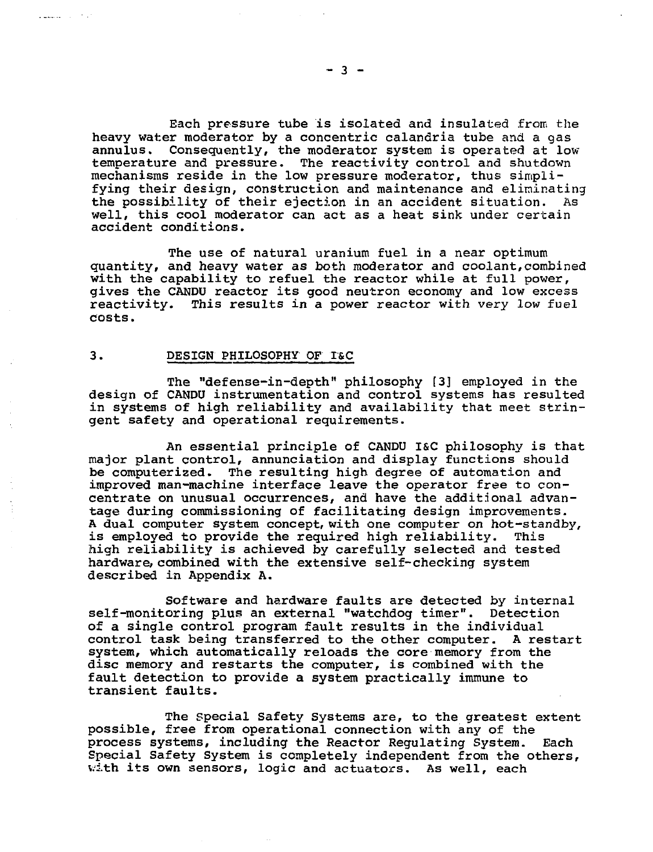Each pressure tube is isolated and insulated from the heavy water moderator by a concentric calandria tube and a gas annulus. Consequently, the moderator system is operated at low temperature and pressure. The reactivity control and shutdown mechanisms reside in the low pressure moderator, thus simplifying their design, construction and maintenance and eliminating the possibility of their ejection in an accident situation. As well, this cool moderator can act as a heat sink under certain accident conditions.

The use of natural uranium fuel in a near optimum quantity, and heavy water as both moderator and coolant,combined with the capability to refuel the reactor while at full power, gives the CANDU reactor its good neutron economy and low excess reactivity. This results in a power reactor with very low fuel costs.

# 3- DESIGN PHILOSOPHY OF I&C

a manuscriptor of the

The "defense-in-depth" philosophy [3] employed in the design of CANDU instrumentation and control systems has resulted in systems of high reliability and availability that meet stringent safety and operational requirements.

An essential principle of CANDU I&C philosophy is that major plant control, annunciation and display functions should be computerized. The resulting high degree of automation and improved man-machine interface leave the operator free to concentrate on unusual occurrences, and have the additional advantage during commissioning of facilitating design improvements. A dual computer system concept, with one computer on hot-standby, is employed to provide the required high reliability. This high reliability is achieved by carefully selected and tested hardware, combined with the extensive self-checking system described in Appendix A.

Software and hardware faults are detected by internal self-monitoring plus an external "watchdog timer". Detection of a single control program fault results in the individual control task being transferred to the other computer. A restart system, which automatically reloads the core memory from the disc memory and restarts the computer, is combined with the fault detection to provide a system practically immune to transient faults.

The special Safety Systems are, to the greatest extent possible, free from operational connection with any of the process systems, including the Reactor Regulating System. Each Special Safety System is completely independent from the others, with its own sensors, logic and actuators. As well, each

 $-3 -$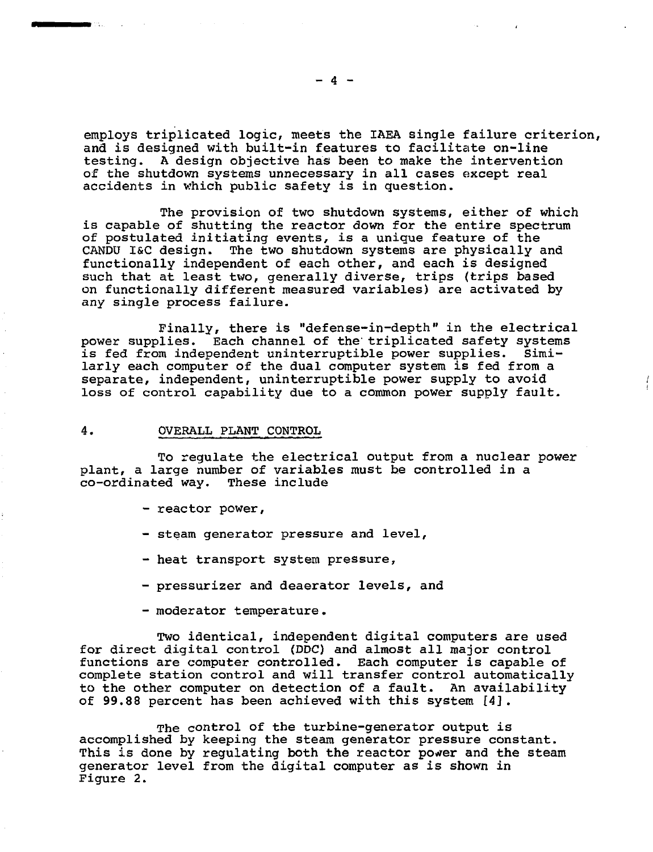employs triplicated logic, meets the IAEA single failure criterion, and is designed with built-in features to facilitate on-line<br>testing. A design objective has been to make the intervention A design objective has been to make the intervention of the shutdown systems unnecessary in all cases except real accidents in which public safety is in question.

The provision of two shutdown systems, either of which is capable of shutting the reactor down for the entire spectrum of postulated initiating events, is a unique feature of the CANDU I&C design. The two shutdown systems are physically and functionally independent of each other, and each is designed such that at least two, generally diverse, trips (trips based on functionally different measured variables) are activated by any single process failure.

Finally, there is "defense-in-depth" in the electrical power supplies. Each channel of the triplicated safety systems is fed from independent uninterruptible power supplies. Similarly each computer of the dual computer system is fed from a separate, independent, uninterruptible power supply to avoid loss of control capability due to a common power supply fault.

#### 4. OVERALL PLANT CONTROL

To regulate the electrical output from a nuclear power plant, a large number of variables must be controlled in a co-ordinated way. These include

- reactor power,
- steam generator pressure and level,
- heat transport system pressure,
- pressurizer and deaerator levels, and
- moderator temperature.

Two identical, independent digital computers are used for direct digital control (DDC) and almost all major control functions are computer controlled. Each computer is capable of complete station control and will transfer control automatically to the other computer on detection of a fault. An availability of 99.88 percent has been achieved with this system [4].

The control of the turbine-generator output is accomplished by keeping the steam generator pressure constant. This is done by regulating both the reactor power and the steam generator level from the digital computer as is shown in Figure 2.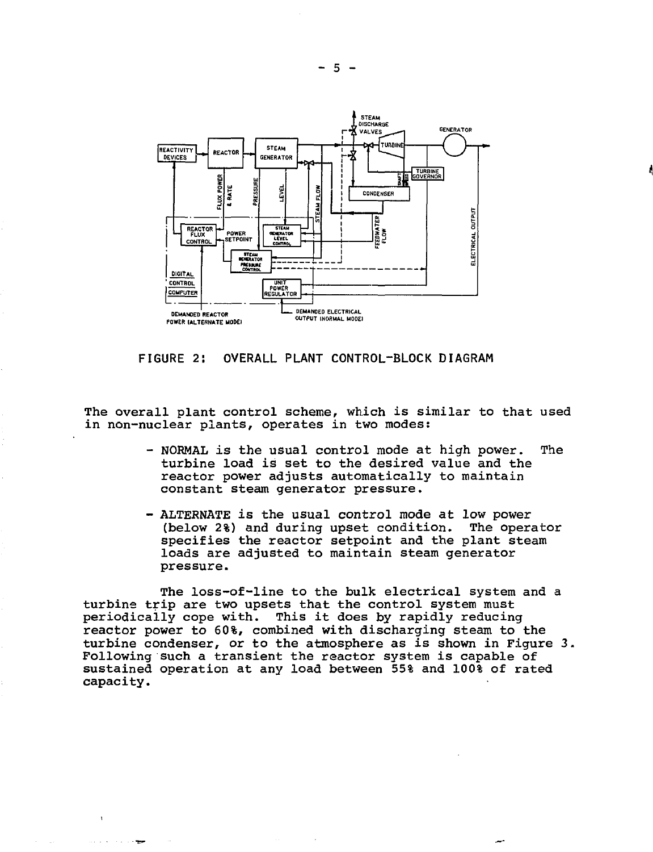

**FIGURE 2: OVERALL PLANT CONTROL-BLOCK DIAGRAM**

The overall plant control scheme, which is similar to that used in non-nuclear plants, operates in two modes:

- NORMAL is the usual control mode at high power. The turbine load is set to the desired value and the reactor power adjusts automatically to maintain constant steam generator pressure.
- ALTERNATE is the usual control mode at low power (below 2%) and during upset condition. The operator specifies the reactor setpoint and the plant steam loads are adjusted to maintain steam generator pressure.

The loss-of-line to the bulk electrical system and a turbine trip are two upsets that the control system must periodically cope with. This it does by rapidly reducing reactor power to 60%, combined with discharging steam to the turbine condenser, or to the atmosphere as is shown in Figure 3. Following such a transient the reactor system is capable of sustained operation at any load between 55% and 100% of rated capacity.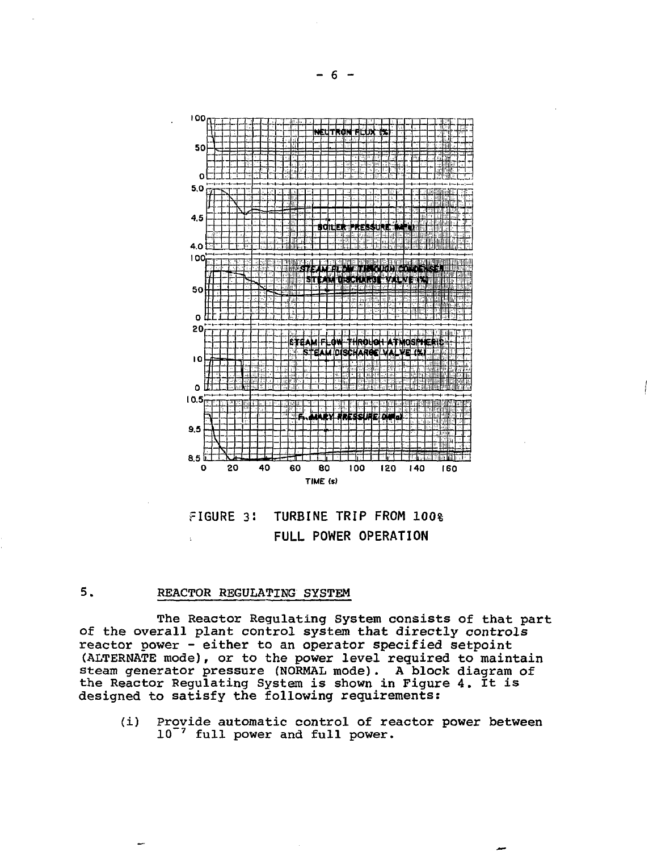



# 5. REACTOR REGULATING SYSTEM

The Reactor Regulating System consists of that part of the overall plant control system that directly controls reactor power - either to an operator specified setpoint (ALTERNATE mode), or to the power level required to maintain steam generator pressure (NORMAL mode). A block diagram of the Reactor Regulating System is shown in Figure 4. It is designed to satisfy the following requirements:

(i) Provide automatic control of reactor power between  $10$ <sup>-7</sup> full power and full power.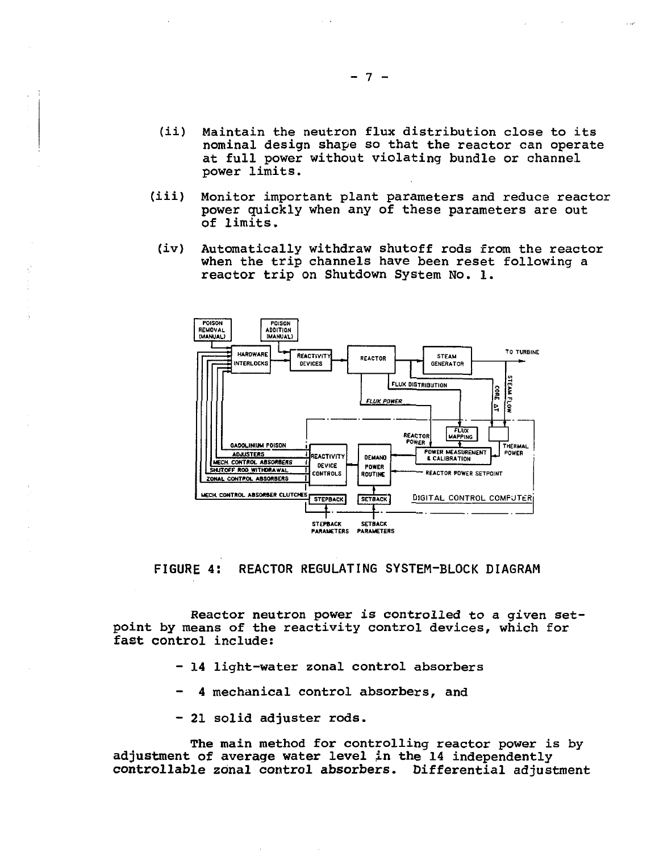- (ii) Maintain the neutron flux distribution close to its nominal design shape so that the reactor can operate at full power without violating bundle or channel power limits.
- (iii) Monitor important plant parameters and reduce reactor power quickly when any of these parameters are out of limits.
- (iv) Automatically withdraw shutoff rods from the reactor when the trip channels have been reset following a reactor trip on Shutdown System No. 1.



**FIGURE 4: REACTOR REGULATING SYSTEM-BLOCK DIAGRAM**

Reactor neutron power is controlled to a given setpoint by means of the reactivity control devices, which for fast control include:

- 14 light-water zonal control absorbers
- 4 mechanical control absorbers, and
- 21 solid adjuster rods.

The main method for controlling reactor power is by adjustment of average water level in the 14 independently controllable zonal control absorbers. Differential adjustment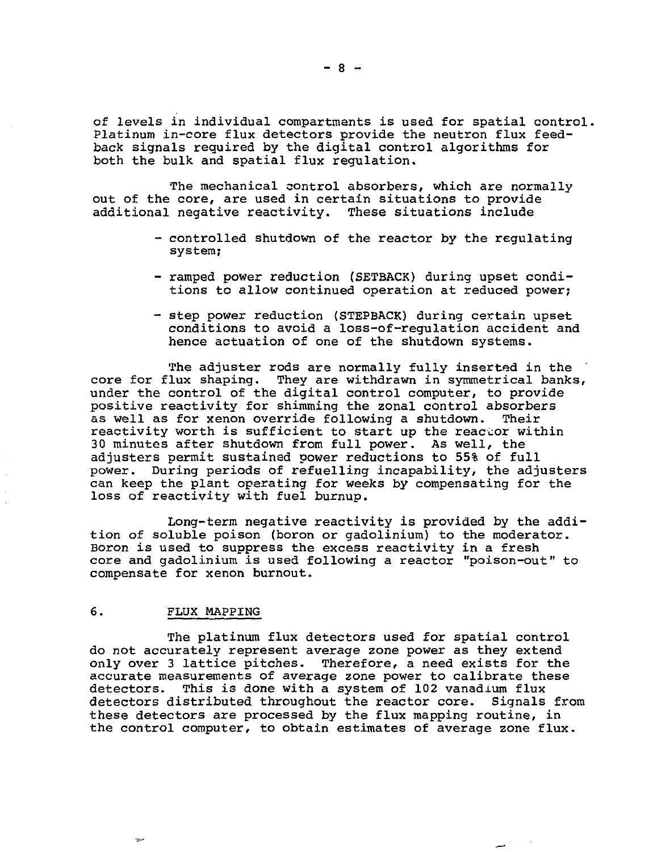of levels in individual compartments is used for spatial control. Platinum in-core flux detectors provide the neutron flux feedback signals required by the digital control algorithms for both the bulk and spatial flux regulation.

The mechanical control absorbers, which are normally out of the core, are used in certain situations to provide additional negative reactivity. These situations include

- controlled shutdown of the reactor by the regulating system;
- ramped power reduction (SETBACK) during upset conditions to allow continued operation at reduced power;
- step power reduction (STEPBACK) during certain upset conditions to avoid a loss-of-regulation accident and hence actuation of one of the shutdown systems.

The adjuster rods are normally fully inserted in the core for flux shaping. They are withdrawn in symmetrical banks, under the control of the digital control computer, to provide positive reactivity for shimming the zonal control absorbers as well as for xenon override following a shutdown. Their reactivity worth is sufficient to start up the reactor within 30 minutes after shutdown from full power. As well, the adjusters permit sustained power reductions to 55% of full power. During periods of refuelling incapability, the adjusters can keep the plant operating for weeks by compensating for the loss of reactivity with fuel burnup.

Long-term negative reactivity is provided by the addition of soluble poison (boron or gadolinium) to the moderator. Boron is used to suppress the excess reactivity in a fresh core and gadolinium is used following a reactor "poison-out" to compensate for xenon burnout.

#### 6. FLUX MAPPING

مت

The platinum flux detectors used for spatial control do not accurately represent average zone power as they extend only over 3 lattice pitches. Therefore, a need exists for the accurate measurements of average zone power to calibrate these detectors. This is done with a system of 102 vanadium flux detectors distributed throughout the reactor core. Signals from these detectors are processed by the flux mapping routine, in the control computer, to obtain estimates of average zone flux.

المعد

 $- 8 -$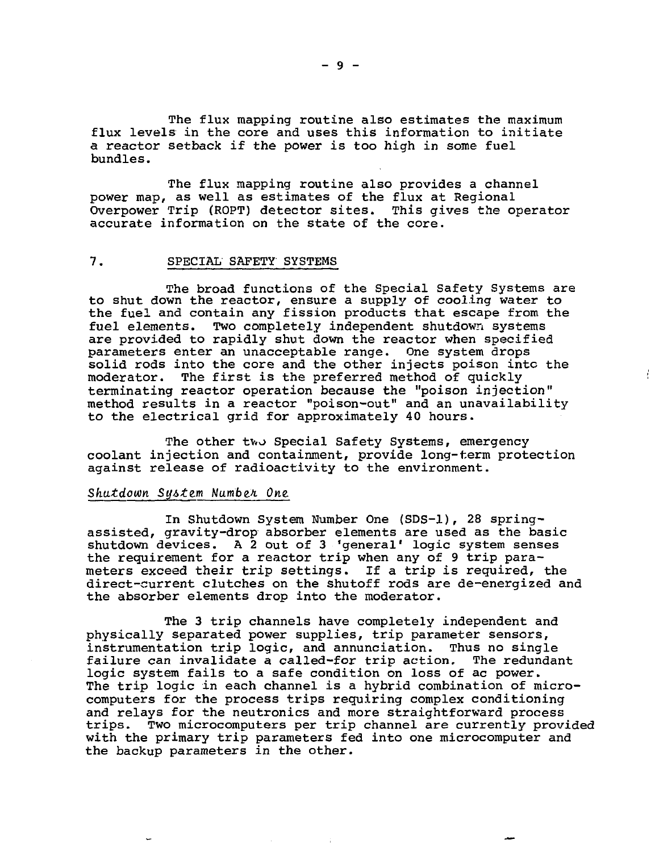The flux mapping routine also estimates the maximum flux levels in the core and uses this information to initiate a reactor setback if the power is too high in some fuel bundles.

The flux mapping routine also provides a channel power map, as well as estimates of the flux at Regional Overpower Trip (ROPT) detector sites. This gives the operator accurate information on the state of the core.

### 7. SPECIAL SAFETY SYSTEMS

The broad functions of the Special Safety Systems are to shut down the reactor, ensure a supply of cooling water to the fuel and contain any fission products that escape from the fuel elements. Two completely independent shutdown systems are provided to rapidly shut down the reactor when specified parameters enter an unacceptable range. One system drops solid rods into the core and the other injects poison into the moderator. The first is the preferred method of quickly terminating reactor operation because the "poison injection" method results in a reactor "poison-out" and an unavailability to the electrical grid for approximately 40 hours.

The other two Special Safety Systems, emergency coolant injection and containment, provide long-term protection against release of radioactivity to the environment.

#### Shutdown Sy&tzm Numb&h One,

In Shutdown System Number One (SDS-1), 28 springassisted, gravity-drop absorber elements are used as the basic shutdown devices. A 2 out of 3 'general' logic system senses the requirement for a reactor trip when any of 9 trip parameters exceed their trip settings. If a trip is required, the direct-current clutches on the shutoff rods are de-energized and the absorber elements drop into the moderator.

The 3 trip channels have completely independent and physically separated power supplies, trip parameter sensors, instrumentation trip logic, and annunciation. Thus no single failure can invalidate a called-for trip action. The redundant logic system fails to a safe condition on loss of ac power. The trip logic in each channel is a hybrid combination of microcomputers for the process trips requiring complex conditioning and relays for the neutronics and more straightforward process trips. Two microcomputers per trip channel are currently provided with the primary trip parameters fed into one microcomputer and the backup parameters in the other.

 $-9 -$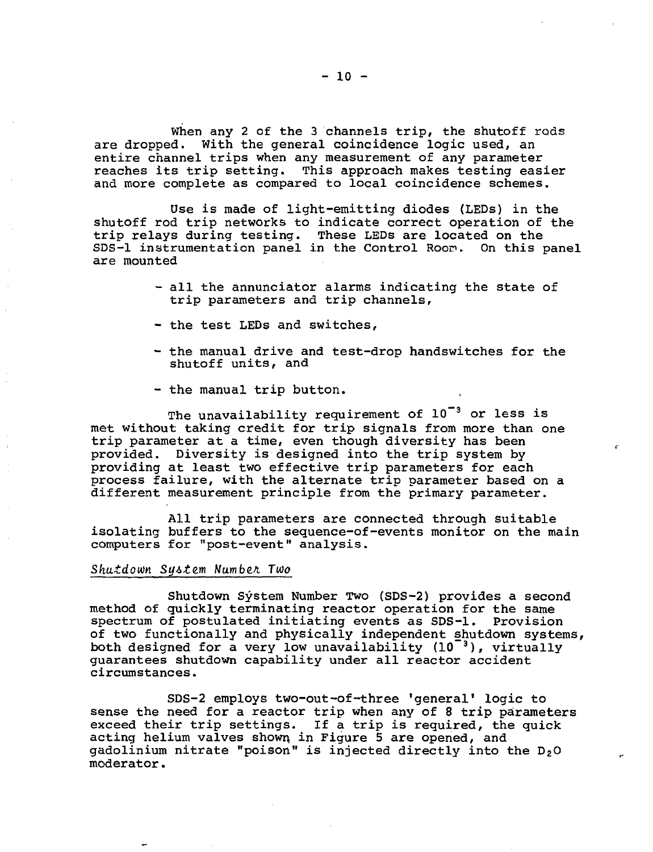When any 2 of the 3 channels trip, the shutoff rods are dropped. With the general coincidence logic used, an entire channel trips when any measurement of any parameter reaches its trip setting. This approach makes testing easier and more complete as compared to local coincidence schemes.

Use is made of light-emitting diodes (LEDs) in the shutoff rod trip networks to indicate correct operation of the trip relays during testing. These LEDs are located on the SDS-1 instrumentation panel in the Control Room. On this panel are mounted

- all the annunciator alarms indicating the state of trip parameters and trip channels,
- the test LEDs and switches,
- the manual drive and test-drop handswitches for the shutoff units, and
- the manual trip button.

The unavailability requirement of  $10^{-3}$  or less is met without taking credit for trip signals from more than one trip parameter at a time, even though diversity has been provided. Diversity is designed into the trip system by providing at least two effective trip parameters for each process failure, with the alternate trip parameter based on a different measurement principle from the primary parameter.

All trip parameters are connected through suitable isolating buffers to the sequence-of-events monitor on the main computers for "post-event" analysis.

### Shutdown System Number Two

Shutdown System Number Two (SDS-2) provides a second method of quickly terminating reactor operation for the same spectrum of postulated initiating events as SDS-1. Provision of two functionally and physically independent shutdown systems, both designed for a very low unavailability (10<sup>-3</sup>), virtually guarantees shutdown capability under all reactor accident circumstances.

SDS-2 employs two-out-of-three 'general' logic to sense the need for a reactor trip when any of 8 trip parameters exceed their trip settings. If a trip is required, the quick acting helium valves shown, in Figure 5 are opened, and gadolinium nitrate "poison" is injected directly into the  $D_2O$ moderator.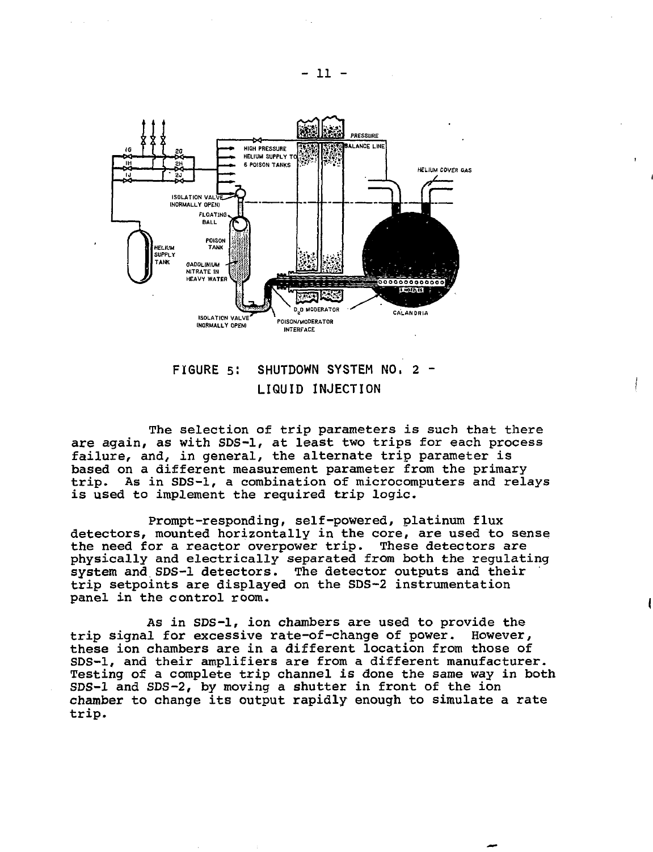

**FIGURE 5! SHUTDOWN SYSTEM NO. 2 - LIQUID INJECTION**

The selection of trip parameters is such that there are again, as with SDS-1, at least two trips for each process failure, and, in general, the alternate trip parameter is based on a different measurement parameter from the primary trip. As in SDS-1, a combination of microcomputers and relays is used to implement the required trip logic.

Prompt-responding, self-powered, platinum flux detectors, mounted horizontally in the core, are used to sense the need for a reactor overpower trip. These detectors are physically and electrically separated from both the regulating system and SDS-1 detectors. The detector outputs and their trip setpoints are displayed on the SDS-2 instrumentation panel in the control room.

As in SDS-1, ion chambers are used to provide the trip signal for excessive rate-of-change of power. However, these ion chambers are in a different location from those of SDS-1, and their amplifiers are from a different manufacturer. Testing of a complete trip channel is done the same way in both SDS-1 and SDS-2, by moving a shutter in front of the ion chamber to change its output rapidly enough to simulate a rate trip.

**- 11 -**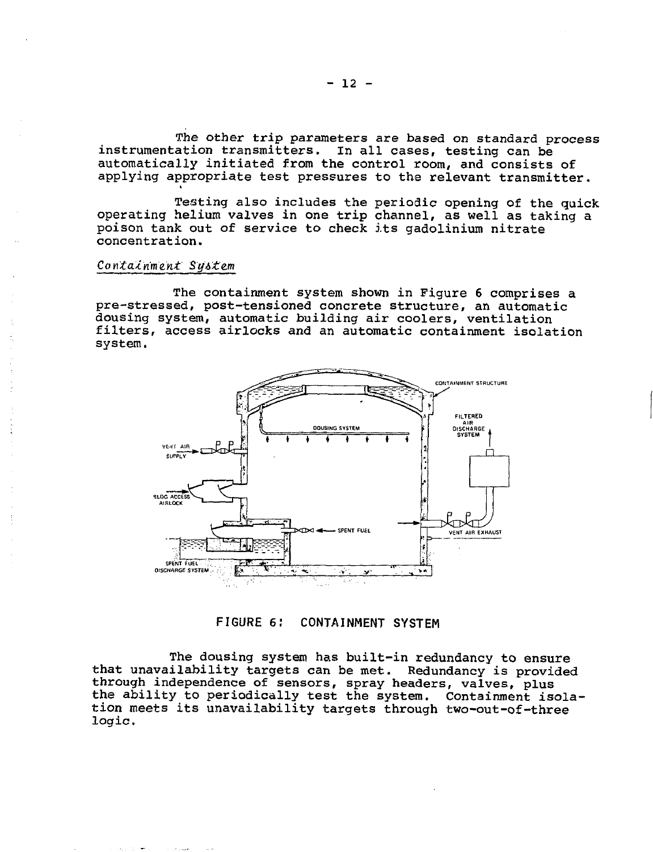The other trip parameters are based on standard process instrumentation transmitters. In all cases, testing can be automatically initiated from the control room, and consists of applying appropriate test pressures to the relevant transmitter.

Testing also includes the periodic opening of the quick operating helium valves in one trip channel, as well as taking a poison tank out of service to check its gadolinium nitrate concentration.

#### Containment System

The containment system shown in Figure 6 comprises a pre-stressed, post-tensioned concrete structure, an automatic dousing system, automatic building air coolers, ventilation filters, access airlocks and an automatic containment isolation system.



**FIGURE 6! CONTAINMENT SYSTEM**

The dousing system has built-in redundancy to ensure that unavailability targets can be met. Redundancy is provided through independence of sensors, spray headers, valves, plus the ability to periodically test the system. Containment isolation meets its unavailability targets through two-out-of-three logic.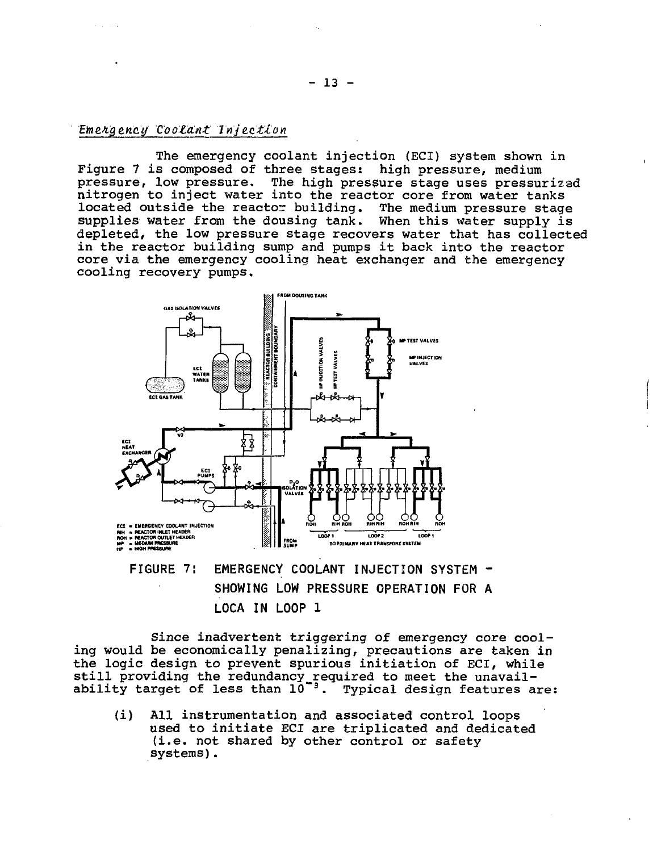# Emergency Coolant Injection

The emergency coolant injection (ECI) system shown in Figure 7 is composed of three stages: high pressure, medium pressure, low pressure. The high pressure stage uses pressurizad nitrogen to inject water into the reactor core from water tanks located outside the reactor building. The medium pressure stage supplies water from the dousing tank. When this water supply is depleted, the low pressure stage recovers water that has collected in the reactor building sump and pumps it back into the reactor core via the emergency cooling heat exchanger and the emergency cooling recovery pumps.



# **FIGURE 7: EMERGENCY COOLANT INJECTION SYSTEM - SHOWING LOW PRESSURE OPERATION FOR A LOCA IN LOOP 1**

Since inadvertent triggering of emergency core cooling would be economically penalizing, precautions are taken in the logic design to prevent spurious initiation of ECI, while still providing the redundancy\_reguired to meet the unavailability target of less than  $10^{-3}$ . Typical design features are:

(i) All instrumentation and associated control loops used to initiate ECI are triplicated and dedicated (i.e. not shared by other control or safety systems).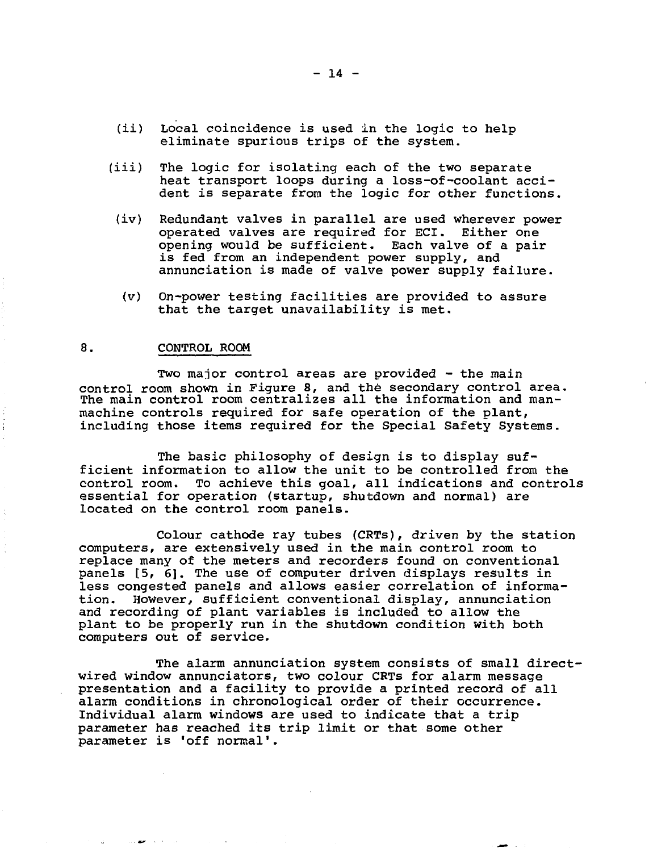- (ii) Local coincidence is used in the logic to help eliminate spurious trips of the system.
- (iii) The logic for isolating each of the two separate heat transport loops during a loss-of-coolant accident is separate from the logic for other functions.
- (iv) Redundant valves in parallel are used wherever power operated valves are required for ECI. Either one opening would be sufficient. Each valve of a pair is fed from an independent power supply, and annunciation is made of valve power supply failure.
	- (v) On-power testing facilities are provided to assure that the target unavailability is met.

### 8. CONTROL ROOM

Two major control areas are provided - the main control room shown in Figure 8, and the secondary control area. The main control room centralizes all the information and manmachine controls required for safe operation of the plant, including those items required for the Special Safety Systems.

The basic philosophy of design is to display sufficient information to allow the unit to be controlled from the control room. To achieve this goal, all indications and controls essential for operation (startup, shutdown and normal) are located on the control room panels.

Colour cathode ray tubes (CRTs), driven by the station computers, are extensively used in the main control room to replace many of the meters and recorders found on conventional panels (5, 6]. The use of computer driven displays results in less congested panels and allows easier correlation of information. However, sufficient conventional display, annunciation and recording of plant variables is included to allow the plant to be properly run in the shutdown condition with both computers out of service.

The alarm annunciation system consists of small directwired window annunciators, two colour CRTs for alarm message presentation and a facility to provide a printed record of all alarm conditions in chronological order of their occurrence. Individual alarm windows are used to indicate that a trip parameter has reached its trip limit or that some other parameter is 'off normal'.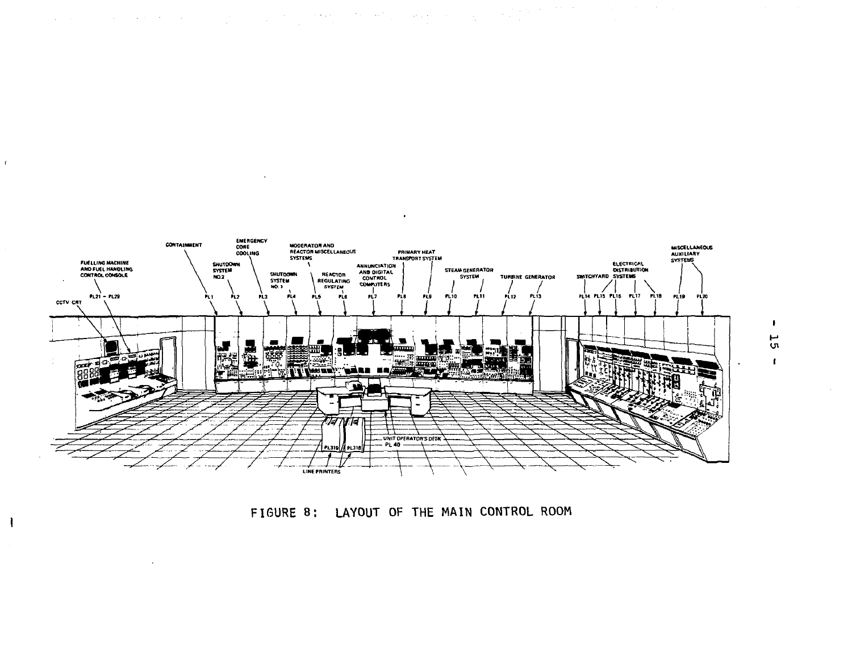

 $\bullet$ 

a de la componencia de la componencia de la componencia de la componencia de la componencia de la componencia<br>La componencia de la componencia de la componencia de la componencia de la componencia de la componencia del c

 $\overline{\phantom{a}}$ 

 $\bar{t}$ 

 $\mathbf{I}$ 

 $\ddot{\phantom{a}}$ 



 $\mathbf{F}$  $\overline{5}$  $\mathbf{f}$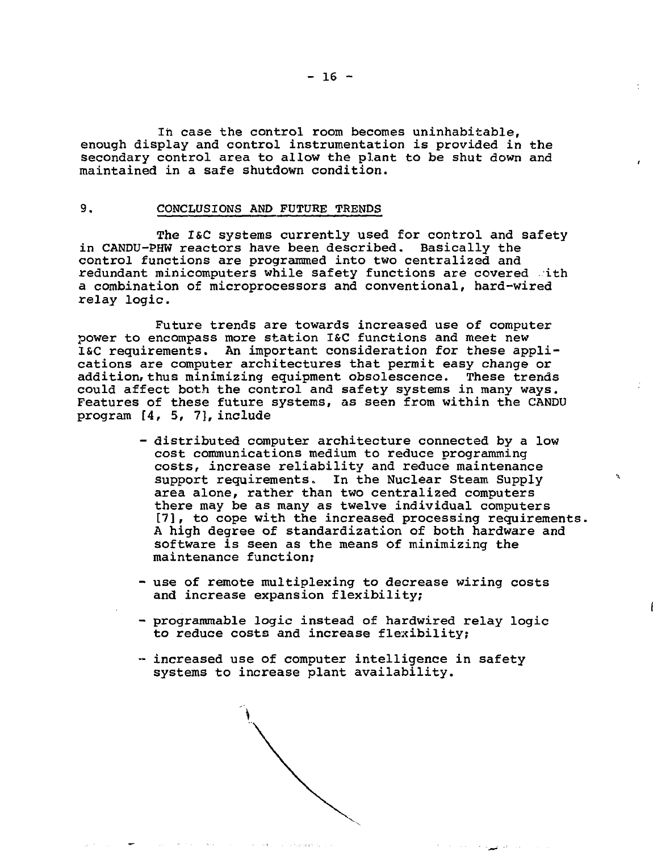In case the control room becomes uninhabitable, enough display and control instrumentation is provided in the secondary control area to allow the plant to be shut down and maintained in a safe shutdown condition.

#### 9. CONCLUSIONS AND FUTURE TRENDS

The I&C systems currently used for control and safety in CANDU-PHW reactors have been described. Basically the control functions are programmed into two centralized and redundant minicomputers while safety functions are covered with a combination of microprocessors and conventional, hard-wired relay logic.

Future trends are towards increased use of computer power to encompass more station I&C functions and meet new l&C requirements. An important consideration for these applications are computer architectures that permit easy change or addition, thus minimizing equipment obsolescence. These trends could affect both the control and safety systems in many ways. Features of these future systems, as seen from within the CANDU program [4, 5, 7], include

- distributed computer architecture connected by a low cost communications medium to reduce programming costs, increase reliability and reduce maintenance support requirements. In the Nuclear Steam Supply area alone, rather than two centralized computers there may be as many as twelve individual computers [7], to cope with the increased processing requirements. A high degree of standardization of both hardware and software is seen as the means of minimizing the maintenance function;
- use of remote multiplexing to decrease wiring costs and increase expansion flexibility;
- programmable logic instead of hardwired relay logic to reduce costs and increase flexibility;

الرضعاء

- increased use of computer intelligence in safety systems to increase plant availability.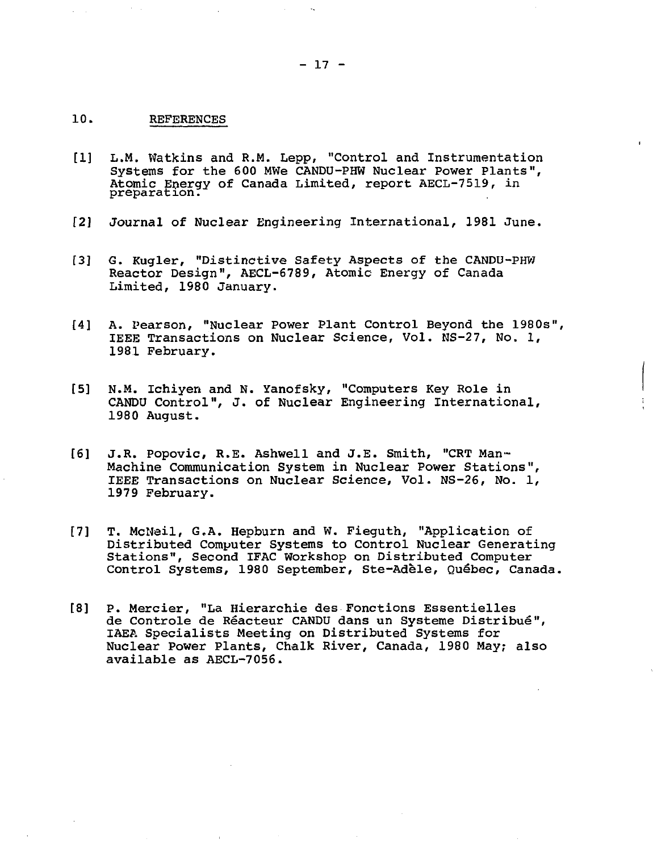## 10. REFERENCES

- [1] L.M. Watkins and R.M. Lepp/ "Control and Instrumentation Systems for the 600 MWe CANDU-PHW Nuclear Power Plants", Atomic Energy of Canada Limited, report AECL-7519, in preparation.
- 12] Journal of Nuclear Engineering International, 1981 June.
- [3] G. Kugler, "Distinctive Safety Aspects of the CANDU-PHW Reactor Design", AECL-6789, Atomic Energy of Canada Limited, 1980 January.
- [4] A. Pearson, "Nuclear Power Plant Control Beyond the 1980s", IEEE Transactions on Nuclear Science, Vol. NS-27, No. 1, 1981 February.
- [5] N.M. Ichiyen and N. Yanofsky, "Computers Key Role in CANDU Control", J. of Nuclear Engineering International, 1980 August.

 $\ddot{\ddot{\mathrm{r}}}$ 

- [6] J.R. Popovic, R.E. Ashwell and J.E. Smith, "CRT Man-Machine Communication System in Nuclear Power Stations", IEEE Transactions on Nuclear Science, Vol. NS-26, No. 1, 1979 February.
- [7] T. McNeil, G.A. Hepburn and W. Fieguth, "Application of Distributed Computer Systems to Control Nuclear Generating Stations", Second IFAC Workshop on Distributed Computer Control Systems, 1980 September, Ste-Adèle, Québec, Canada.
- [8] P. Mercier, "La Hierarchie des Fonctions Essentielles de Controle de Réacteur CANDU dans un Systeme Distribué", IAEA Specialists Meeting on Distributed Systems for Nuclear Power Plants, Chalk River, Canada, 1980 May; also available as AECL-7056.

 $- 17 -$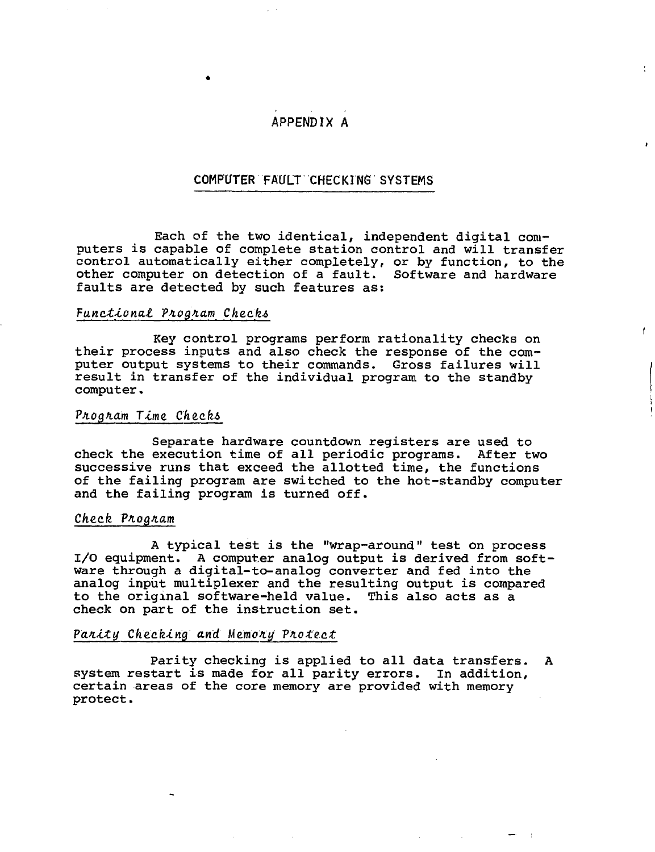# APPENDIX A

# COMPUTER FAULT CHECKING SYSTEMS

Each of the two identical, independent digital computers is capable of complete station control and will transfer control automatically either completely, or by function, to the other computer on detection of a fault. Software and hardware faults are detected by such features as:

 $\ddot{\phantom{1}}$ 

## Functional Program Checks

Key control programs perform rationality checks on their process inputs and also check the response of the computer output systems to their commands. Gross failures will result in transfer of the individual program to the standby computer.

## Program Time Checks

Separate hardware countdown registers are used to check the execution time of all periodic programs. After two successive runs that exceed the allotted time, the functions of the failing program are switched to the hot-standby computer and the failing program is turned off.

#### Check Program

A typical test is the "wrap-around" test on process I/O equipment. A computer analog output is derived from software through a digital-to-analog converter and fed into the analog input multiplexer and the resulting output is compared to the original software-held value. This also acts as a check on part of the instruction set.

#### Parity Checking and Memory Protect

Parity checking is applied to all data transfers. A system restart is made for all parity errors. In addition, certain areas of the core memory are provided with memory protect.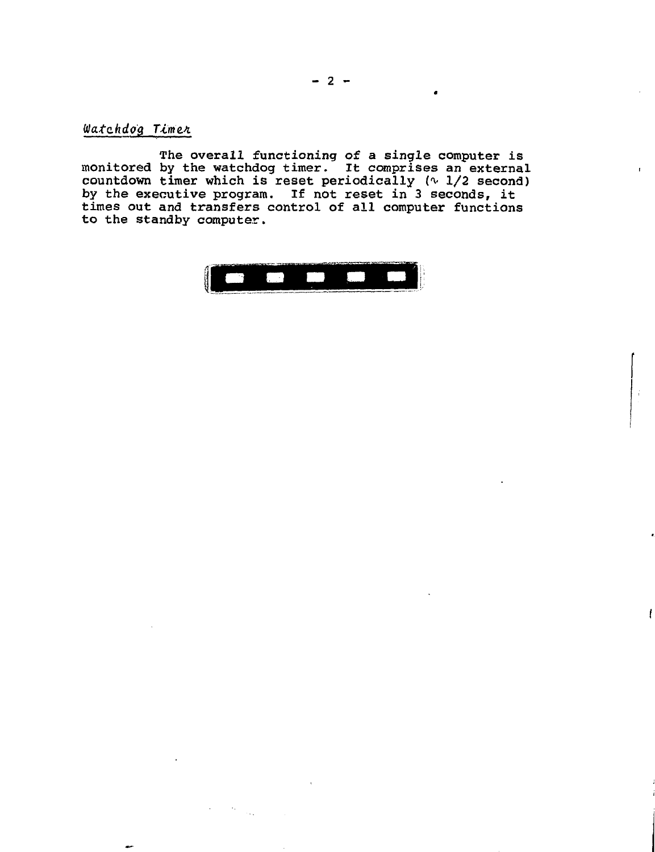Watchdog Timer

The overall functioning of a single computer is monitored by the watchdog timer. It comprises an external countdown timer which is reset periodically (^ 1/2 second) by the executive program. If not reset in 3 seconds, it times out and transfers control of all computer functions to the standby computer.



 $\mathbf{r}$